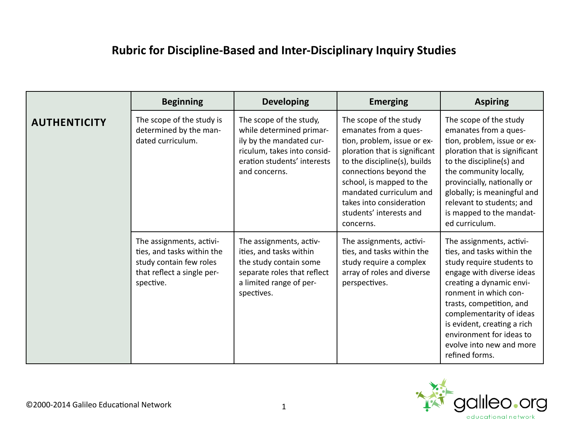## **Rubric for Discipline-Based and Inter-Disciplinary Inquiry Studies**

|                     | <b>Beginning</b>                                                                                                             | <b>Developing</b>                                                                                                                                              | <b>Emerging</b>                                                                                                                                                                                                                                                                                      | <b>Aspiring</b>                                                                                                                                                                                                                                                                                                                        |
|---------------------|------------------------------------------------------------------------------------------------------------------------------|----------------------------------------------------------------------------------------------------------------------------------------------------------------|------------------------------------------------------------------------------------------------------------------------------------------------------------------------------------------------------------------------------------------------------------------------------------------------------|----------------------------------------------------------------------------------------------------------------------------------------------------------------------------------------------------------------------------------------------------------------------------------------------------------------------------------------|
| <b>AUTHENTICITY</b> | The scope of the study is<br>determined by the man-<br>dated curriculum.                                                     | The scope of the study,<br>while determined primar-<br>ily by the mandated cur-<br>riculum, takes into consid-<br>eration students' interests<br>and concerns. | The scope of the study<br>emanates from a ques-<br>tion, problem, issue or ex-<br>ploration that is significant<br>to the discipline(s), builds<br>connections beyond the<br>school, is mapped to the<br>mandated curriculum and<br>takes into consideration<br>students' interests and<br>concerns. | The scope of the study<br>emanates from a ques-<br>tion, problem, issue or ex-<br>ploration that is significant<br>to the discipline(s) and<br>the community locally,<br>provincially, nationally or<br>globally; is meaningful and<br>relevant to students; and<br>is mapped to the mandat-<br>ed curriculum.                         |
|                     | The assignments, activi-<br>ties, and tasks within the<br>study contain few roles<br>that reflect a single per-<br>spective. | The assignments, activ-<br>ities, and tasks within<br>the study contain some<br>separate roles that reflect<br>a limited range of per-<br>spectives.           | The assignments, activi-<br>ties, and tasks within the<br>study require a complex<br>array of roles and diverse<br>perspectives.                                                                                                                                                                     | The assignments, activi-<br>ties, and tasks within the<br>study require students to<br>engage with diverse ideas<br>creating a dynamic envi-<br>ronment in which con-<br>trasts, competition, and<br>complementarity of ideas<br>is evident, creating a rich<br>environment for ideas to<br>evolve into new and more<br>refined forms. |

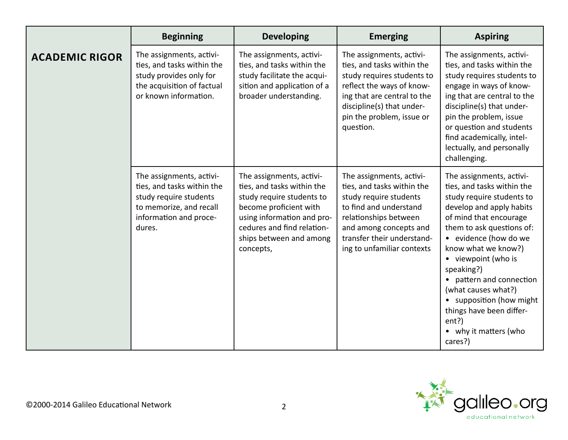|                       | <b>Beginning</b>                                                                                                                                | <b>Developing</b>                                                                                                                                                                                                 | <b>Emerging</b>                                                                                                                                                                                                           | <b>Aspiring</b>                                                                                                                                                                                                                                                                                                                                                                                                     |
|-----------------------|-------------------------------------------------------------------------------------------------------------------------------------------------|-------------------------------------------------------------------------------------------------------------------------------------------------------------------------------------------------------------------|---------------------------------------------------------------------------------------------------------------------------------------------------------------------------------------------------------------------------|---------------------------------------------------------------------------------------------------------------------------------------------------------------------------------------------------------------------------------------------------------------------------------------------------------------------------------------------------------------------------------------------------------------------|
| <b>ACADEMIC RIGOR</b> | The assignments, activi-<br>ties, and tasks within the<br>study provides only for<br>the acquisition of factual<br>or known information.        | The assignments, activi-<br>ties, and tasks within the<br>study facilitate the acqui-<br>sition and application of a<br>broader understanding.                                                                    | The assignments, activi-<br>ties, and tasks within the<br>study requires students to<br>reflect the ways of know-<br>ing that are central to the<br>discipline(s) that under-<br>pin the problem, issue or<br>question.   | The assignments, activi-<br>ties, and tasks within the<br>study requires students to<br>engage in ways of know-<br>ing that are central to the<br>discipline(s) that under-<br>pin the problem, issue<br>or question and students<br>find academically, intel-<br>lectually, and personally<br>challenging.                                                                                                         |
|                       | The assignments, activi-<br>ties, and tasks within the<br>study require students<br>to memorize, and recall<br>information and proce-<br>dures. | The assignments, activi-<br>ties, and tasks within the<br>study require students to<br>become proficient with<br>using information and pro-<br>cedures and find relation-<br>ships between and among<br>concepts, | The assignments, activi-<br>ties, and tasks within the<br>study require students<br>to find and understand<br>relationships between<br>and among concepts and<br>transfer their understand-<br>ing to unfamiliar contexts | The assignments, activi-<br>ties, and tasks within the<br>study require students to<br>develop and apply habits<br>of mind that encourage<br>them to ask questions of:<br>• evidence (how do we<br>know what we know?)<br>• viewpoint (who is<br>speaking?)<br>• pattern and connection<br>(what causes what?)<br>• supposition (how might<br>things have been differ-<br>ent?)<br>• why it matters (who<br>cares?) |

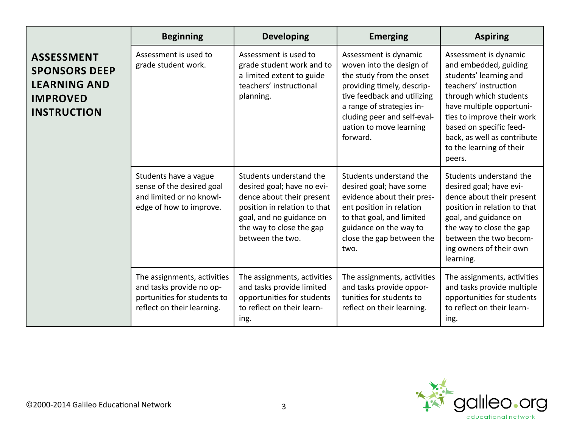|                                                                                                           | <b>Beginning</b>                                                                                                     | <b>Developing</b>                                                                                                                                                                              | <b>Emerging</b>                                                                                                                                                                                                                               | <b>Aspiring</b>                                                                                                                                                                                                                                                                       |
|-----------------------------------------------------------------------------------------------------------|----------------------------------------------------------------------------------------------------------------------|------------------------------------------------------------------------------------------------------------------------------------------------------------------------------------------------|-----------------------------------------------------------------------------------------------------------------------------------------------------------------------------------------------------------------------------------------------|---------------------------------------------------------------------------------------------------------------------------------------------------------------------------------------------------------------------------------------------------------------------------------------|
| <b>ASSESSMENT</b><br><b>SPONSORS DEEP</b><br><b>LEARNING AND</b><br><b>IMPROVED</b><br><b>INSTRUCTION</b> | Assessment is used to<br>grade student work.                                                                         | Assessment is used to<br>grade student work and to<br>a limited extent to guide<br>teachers' instructional<br>planning.                                                                        | Assessment is dynamic<br>woven into the design of<br>the study from the onset<br>providing timely, descrip-<br>tive feedback and utilizing<br>a range of strategies in-<br>cluding peer and self-eval-<br>uation to move learning<br>forward. | Assessment is dynamic<br>and embedded, guiding<br>students' learning and<br>teachers' instruction<br>through which students<br>have multiple opportuni-<br>ties to improve their work<br>based on specific feed-<br>back, as well as contribute<br>to the learning of their<br>peers. |
|                                                                                                           | Students have a vague<br>sense of the desired goal<br>and limited or no knowl-<br>edge of how to improve.            | Students understand the<br>desired goal; have no evi-<br>dence about their present<br>position in relation to that<br>goal, and no guidance on<br>the way to close the gap<br>between the two. | Students understand the<br>desired goal; have some<br>evidence about their pres-<br>ent position in relation<br>to that goal, and limited<br>guidance on the way to<br>close the gap between the<br>two.                                      | Students understand the<br>desired goal; have evi-<br>dence about their present<br>position in relation to that<br>goal, and guidance on<br>the way to close the gap<br>between the two becom-<br>ing owners of their own<br>learning.                                                |
|                                                                                                           | The assignments, activities<br>and tasks provide no op-<br>portunities for students to<br>reflect on their learning. | The assignments, activities<br>and tasks provide limited<br>opportunities for students<br>to reflect on their learn-<br>ing.                                                                   | The assignments, activities<br>and tasks provide oppor-<br>tunities for students to<br>reflect on their learning.                                                                                                                             | The assignments, activities<br>and tasks provide multiple<br>opportunities for students<br>to reflect on their learn-<br>ing.                                                                                                                                                         |

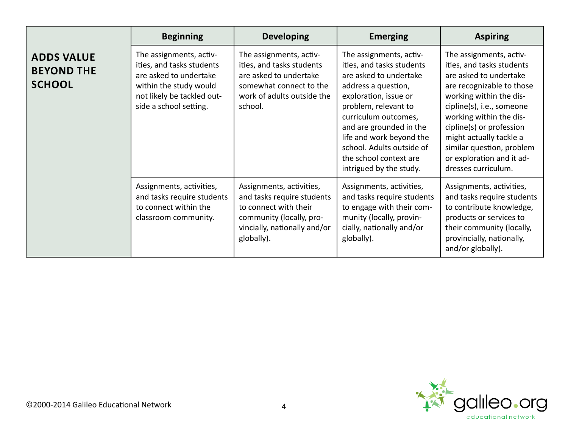|                                                         | <b>Beginning</b>                                                                                                                                                 | <b>Developing</b>                                                                                                                                         | <b>Emerging</b>                                                                                                                                                                                                                                                                                                         | <b>Aspiring</b>                                                                                                                                                                                                                                                                                                                        |
|---------------------------------------------------------|------------------------------------------------------------------------------------------------------------------------------------------------------------------|-----------------------------------------------------------------------------------------------------------------------------------------------------------|-------------------------------------------------------------------------------------------------------------------------------------------------------------------------------------------------------------------------------------------------------------------------------------------------------------------------|----------------------------------------------------------------------------------------------------------------------------------------------------------------------------------------------------------------------------------------------------------------------------------------------------------------------------------------|
| <b>ADDS VALUE</b><br><b>BEYOND THE</b><br><b>SCHOOL</b> | The assignments, activ-<br>ities, and tasks students<br>are asked to undertake<br>within the study would<br>not likely be tackled out-<br>side a school setting. | The assignments, activ-<br>ities, and tasks students<br>are asked to undertake<br>somewhat connect to the<br>work of adults outside the<br>school.        | The assignments, activ-<br>ities, and tasks students<br>are asked to undertake<br>address a question,<br>exploration, issue or<br>problem, relevant to<br>curriculum outcomes,<br>and are grounded in the<br>life and work beyond the<br>school. Adults outside of<br>the school context are<br>intrigued by the study. | The assignments, activ-<br>ities, and tasks students<br>are asked to undertake<br>are recognizable to those<br>working within the dis-<br>cipline(s), i.e., someone<br>working within the dis-<br>cipline(s) or profession<br>might actually tackle a<br>similar question, problem<br>or exploration and it ad-<br>dresses curriculum. |
|                                                         | Assignments, activities,<br>and tasks require students<br>to connect within the<br>classroom community.                                                          | Assignments, activities,<br>and tasks require students<br>to connect with their<br>community (locally, pro-<br>vincially, nationally and/or<br>globally). | Assignments, activities,<br>and tasks require students<br>to engage with their com-<br>munity (locally, provin-<br>cially, nationally and/or<br>globally).                                                                                                                                                              | Assignments, activities,<br>and tasks require students<br>to contribute knowledge,<br>products or services to<br>their community (locally,<br>provincially, nationally,<br>and/or globally).                                                                                                                                           |

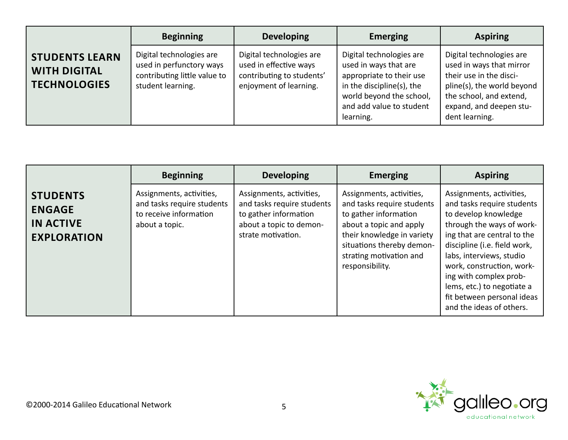|                                                                     | <b>Beginning</b>                                                                                          | <b>Developing</b>                                                                                         | <b>Emerging</b>                                                                                                                                                                 | <b>Aspiring</b>                                                                                                                                                                       |
|---------------------------------------------------------------------|-----------------------------------------------------------------------------------------------------------|-----------------------------------------------------------------------------------------------------------|---------------------------------------------------------------------------------------------------------------------------------------------------------------------------------|---------------------------------------------------------------------------------------------------------------------------------------------------------------------------------------|
| <b>STUDENTS LEARN</b><br><b>WITH DIGITAL</b><br><b>TECHNOLOGIES</b> | Digital technologies are<br>used in perfunctory ways<br>contributing little value to<br>student learning. | Digital technologies are<br>used in effective ways<br>contributing to students'<br>enjoyment of learning. | Digital technologies are<br>used in ways that are<br>appropriate to their use<br>in the discipline(s), the<br>world beyond the school,<br>and add value to student<br>learning. | Digital technologies are<br>used in ways that mirror<br>their use in the disci-<br>pline(s), the world beyond<br>the school, and extend,<br>expand, and deepen stu-<br>dent learning. |

|                                                                            | <b>Beginning</b>                                                                                   | <b>Developing</b>                                                                                                                | <b>Emerging</b>                                                                                                                                                                                                     | <b>Aspiring</b>                                                                                                                                                                                                                                                                                                                                       |
|----------------------------------------------------------------------------|----------------------------------------------------------------------------------------------------|----------------------------------------------------------------------------------------------------------------------------------|---------------------------------------------------------------------------------------------------------------------------------------------------------------------------------------------------------------------|-------------------------------------------------------------------------------------------------------------------------------------------------------------------------------------------------------------------------------------------------------------------------------------------------------------------------------------------------------|
| <b>STUDENTS</b><br><b>ENGAGE</b><br><b>IN ACTIVE</b><br><b>EXPLORATION</b> | Assignments, activities,<br>and tasks require students<br>to receive information<br>about a topic. | Assignments, activities,<br>and tasks require students<br>to gather information<br>about a topic to demon-<br>strate motivation. | Assignments, activities,<br>and tasks require students<br>to gather information<br>about a topic and apply<br>their knowledge in variety<br>situations thereby demon-<br>strating motivation and<br>responsibility. | Assignments, activities,<br>and tasks require students<br>to develop knowledge<br>through the ways of work-<br>ing that are central to the<br>discipline (i.e. field work,<br>labs, interviews, studio<br>work, construction, work-<br>ing with complex prob-<br>lems, etc.) to negotiate a<br>fit between personal ideas<br>and the ideas of others. |

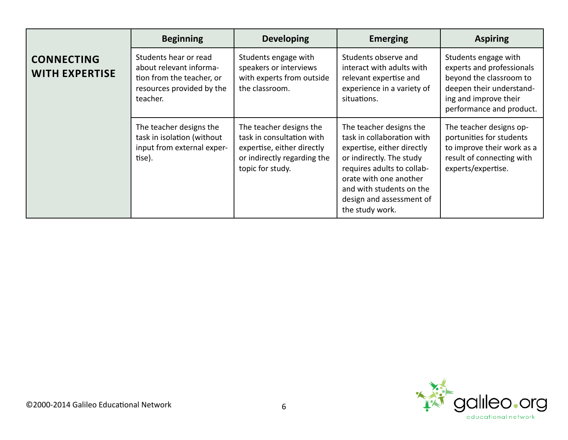|                                            | <b>Beginning</b>                                                                                                       | <b>Developing</b>                                                                                                                     | <b>Emerging</b>                                                                                                                                                                                                                                    | <b>Aspiring</b>                                                                                                                                               |
|--------------------------------------------|------------------------------------------------------------------------------------------------------------------------|---------------------------------------------------------------------------------------------------------------------------------------|----------------------------------------------------------------------------------------------------------------------------------------------------------------------------------------------------------------------------------------------------|---------------------------------------------------------------------------------------------------------------------------------------------------------------|
| <b>CONNECTING</b><br><b>WITH EXPERTISE</b> | Students hear or read<br>about relevant informa-<br>tion from the teacher, or<br>resources provided by the<br>teacher. | Students engage with<br>speakers or interviews<br>with experts from outside<br>the classroom.                                         | Students observe and<br>interact with adults with<br>relevant expertise and<br>experience in a variety of<br>situations.                                                                                                                           | Students engage with<br>experts and professionals<br>beyond the classroom to<br>deepen their understand-<br>ing and improve their<br>performance and product. |
|                                            | The teacher designs the<br>task in isolation (without<br>input from external exper-<br>tise).                          | The teacher designs the<br>task in consultation with<br>expertise, either directly<br>or indirectly regarding the<br>topic for study. | The teacher designs the<br>task in collaboration with<br>expertise, either directly<br>or indirectly. The study<br>requires adults to collab-<br>orate with one another<br>and with students on the<br>design and assessment of<br>the study work. | The teacher designs op-<br>portunities for students<br>to improve their work as a<br>result of connecting with<br>experts/expertise.                          |